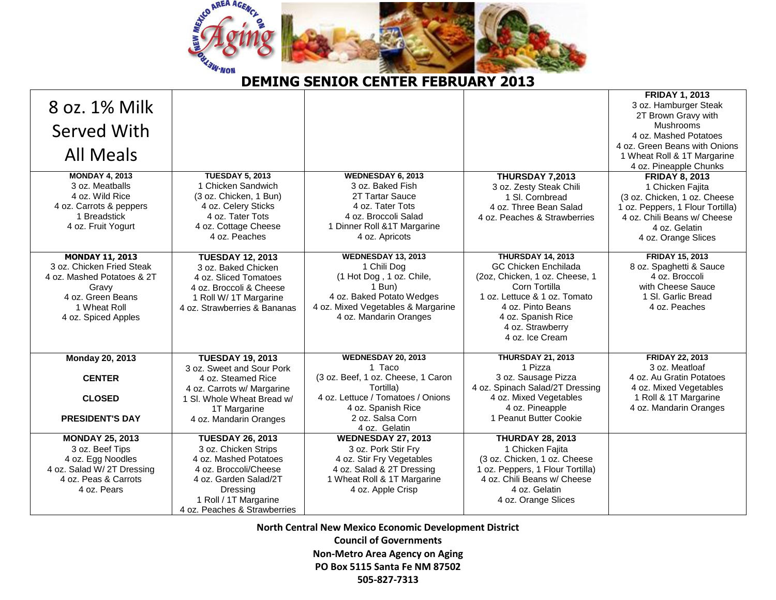

## **DEMING SENIOR CENTER FEBRUARY 2013**

|                            |                              |                                                |                                           | <b>FRIDAY 1, 2013</b>                    |
|----------------------------|------------------------------|------------------------------------------------|-------------------------------------------|------------------------------------------|
| 8 oz. 1% Milk              |                              |                                                |                                           | 3 oz. Hamburger Steak                    |
|                            |                              |                                                |                                           | 2T Brown Gravy with                      |
|                            |                              |                                                |                                           | <b>Mushrooms</b>                         |
| Served With                |                              |                                                |                                           | 4 oz. Mashed Potatoes                    |
|                            |                              |                                                |                                           | 4 oz. Green Beans with Onions            |
| <b>All Meals</b>           |                              |                                                |                                           | 1 Wheat Roll & 1T Margarine              |
|                            |                              |                                                |                                           | 4 oz. Pineapple Chunks                   |
| <b>MONDAY 4, 2013</b>      | <b>TUESDAY 5, 2013</b>       | <b>WEDNESDAY 6, 2013</b>                       | <b>THURSDAY 7,2013</b>                    | <b>FRIDAY 8, 2013</b>                    |
| 3 oz. Meatballs            | 1 Chicken Sandwich           | 3 oz. Baked Fish                               | 3 oz. Zesty Steak Chili                   | 1 Chicken Fajita                         |
| 4 oz. Wild Rice            | (3 oz. Chicken, 1 Bun)       | 2T Tartar Sauce                                | 1 SI. Cornbread                           | (3 oz. Chicken, 1 oz. Cheese             |
| 4 oz. Carrots & peppers    | 4 oz. Celery Sticks          | 4 oz. Tater Tots                               | 4 oz. Three Bean Salad                    | 1 oz. Peppers, 1 Flour Tortilla)         |
| 1 Breadstick               | 4 oz. Tater Tots             | 4 oz. Broccoli Salad                           | 4 oz. Peaches & Strawberries              | 4 oz. Chili Beans w/ Cheese              |
| 4 oz. Fruit Yogurt         | 4 oz. Cottage Cheese         | 1 Dinner Roll & 1T Margarine                   |                                           | 4 oz. Gelatin                            |
|                            | 4 oz. Peaches                | 4 oz. Apricots                                 |                                           | 4 oz. Orange Slices                      |
|                            |                              |                                                |                                           |                                          |
| <b>MONDAY 11, 2013</b>     | <b>TUESDAY 12, 2013</b>      | <b>WEDNESDAY 13, 2013</b>                      | <b>THURSDAY 14, 2013</b>                  | <b>FRIDAY 15, 2013</b>                   |
| 3 oz. Chicken Fried Steak  | 3 oz. Baked Chicken          | 1 Chili Dog                                    | <b>GC Chicken Enchilada</b>               | 8 oz. Spaghetti & Sauce                  |
| 4 oz. Mashed Potatoes & 2T | 4 oz. Sliced Tomatoes        | (1 Hot Dog, 1 oz. Chile,                       | (2oz, Chicken, 1 oz. Cheese, 1            | 4 oz. Broccoli                           |
| Gravy                      | 4 oz. Broccoli & Cheese      | 1 Bun)                                         | Corn Tortilla                             | with Cheese Sauce                        |
| 4 oz. Green Beans          | 1 Roll W/ 1T Margarine       | 4 oz. Baked Potato Wedges                      | 1 oz. Lettuce & 1 oz. Tomato              | 1 SI, Garlic Bread                       |
| 1 Wheat Roll               | 4 oz. Strawberries & Bananas | 4 oz. Mixed Vegetables & Margarine             | 4 oz. Pinto Beans                         | 4 oz. Peaches                            |
| 4 oz. Spiced Apples        |                              | 4 oz. Mandarin Oranges                         | 4 oz. Spanish Rice                        |                                          |
|                            |                              |                                                | 4 oz. Strawberry                          |                                          |
|                            |                              |                                                | 4 oz. Ice Cream                           |                                          |
|                            |                              |                                                |                                           |                                          |
| <b>Monday 20, 2013</b>     | <b>TUESDAY 19, 2013</b>      | <b>WEDNESDAY 20, 2013</b><br>1 Taco            | <b>THURSDAY 21, 2013</b><br>1 Pizza       | <b>FRIDAY 22, 2013</b><br>3 oz. Meatloaf |
|                            | 3 oz. Sweet and Sour Pork    |                                                |                                           | 4 oz. Au Gratin Potatoes                 |
| <b>CENTER</b>              | 4 oz. Steamed Rice           | (3 oz. Beef, 1 oz. Cheese, 1 Caron             | 3 oz. Sausage Pizza                       |                                          |
|                            | 4 oz. Carrots w/ Margarine   | Tortilla)<br>4 oz. Lettuce / Tomatoes / Onions | 4 oz. Spinach Salad/2T Dressing           | 4 oz. Mixed Vegetables                   |
| <b>CLOSED</b>              | 1 SI. Whole Wheat Bread w/   |                                                | 4 oz. Mixed Vegetables                    | 1 Roll & 1T Margarine                    |
|                            | 1T Margarine                 | 4 oz. Spanish Rice<br>2 oz. Salsa Corn         | 4 oz. Pineapple<br>1 Peanut Butter Cookie | 4 oz. Mandarin Oranges                   |
| <b>PRESIDENT'S DAY</b>     | 4 oz. Mandarin Oranges       | 4 oz. Gelatin                                  |                                           |                                          |
| <b>MONDAY 25, 2013</b>     | <b>TUESDAY 26, 2013</b>      | <b>WEDNESDAY 27, 2013</b>                      | <b>THURDAY 28, 2013</b>                   |                                          |
| 3 oz. Beef Tips            | 3 oz. Chicken Strips         | 3 oz. Pork Stir Fry                            | 1 Chicken Fajita                          |                                          |
| 4 oz. Egg Noodles          | 4 oz. Mashed Potatoes        | 4 oz. Stir Fry Vegetables                      | (3 oz. Chicken, 1 oz. Cheese              |                                          |
| 4 oz. Salad W/ 2T Dressing | 4 oz. Broccoli/Cheese        | 4 oz. Salad & 2T Dressing                      | 1 oz. Peppers, 1 Flour Tortilla)          |                                          |
| 4 oz. Peas & Carrots       | 4 oz. Garden Salad/2T        | 1 Wheat Roll & 1T Margarine                    | 4 oz. Chili Beans w/ Cheese               |                                          |
| 4 oz. Pears                | Dressing                     | 4 oz. Apple Crisp                              | 4 oz. Gelatin                             |                                          |
|                            | 1 Roll / 1T Margarine        |                                                | 4 oz. Orange Slices                       |                                          |
|                            | 4 oz. Peaches & Strawberries |                                                |                                           |                                          |
|                            |                              |                                                |                                           |                                          |

**North Central New Mexico Economic Development District Council of Governments Non-Metro Area Agency on Aging PO Box 5115 Santa Fe NM 87502 505-827-7313**